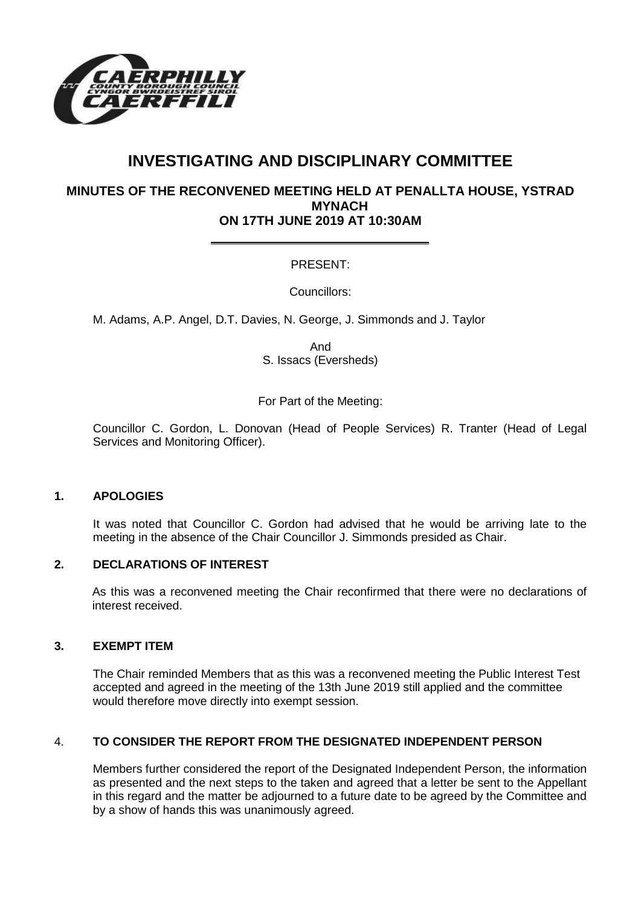

# **INVESTIGATING AND DISCIPLINARY COMMITTEE**

# **MINUTES OF THE RECONVENED MEETING HELD AT PENALLTA HOUSE, YSTRAD MYNACH ON 17TH JUNE 2019 AT 10:30AM**

# PRESENT:

Councillors:

M. Adams, A.P. Angel, D.T. Davies, N. George, J. Simmonds and J. Taylor

And S. Issacs (Eversheds)

For Part of the Meeting:

Councillor C. Gordon, L. Donovan (Head of People Services) R. Tranter (Head of Legal Services and Monitoring Officer).

#### **1. APOLOGIES**

It was noted that Councillor C. Gordon had advised that he would be arriving late to the meeting in the absence of the Chair Councillor J. Simmonds presided as Chair.

## **2. DECLARATIONS OF INTEREST**

As this was a reconvened meeting the Chair reconfirmed that there were no declarations of interest received.

## **3. EXEMPT ITEM**

The Chair reminded Members that as this was a reconvened meeting the Public Interest Test accepted and agreed in the meeting of the 13th June 2019 still applied and the committee would therefore move directly into exempt session.

## 4. **TO CONSIDER THE REPORT FROM THE DESIGNATED INDEPENDENT PERSON**

Members further considered the report of the Designated Independent Person, the information as presented and the next steps to the taken and agreed that a letter be sent to the Appellant in this regard and the matter be adjourned to a future date to be agreed by the Committee and by a show of hands this was unanimously agreed.